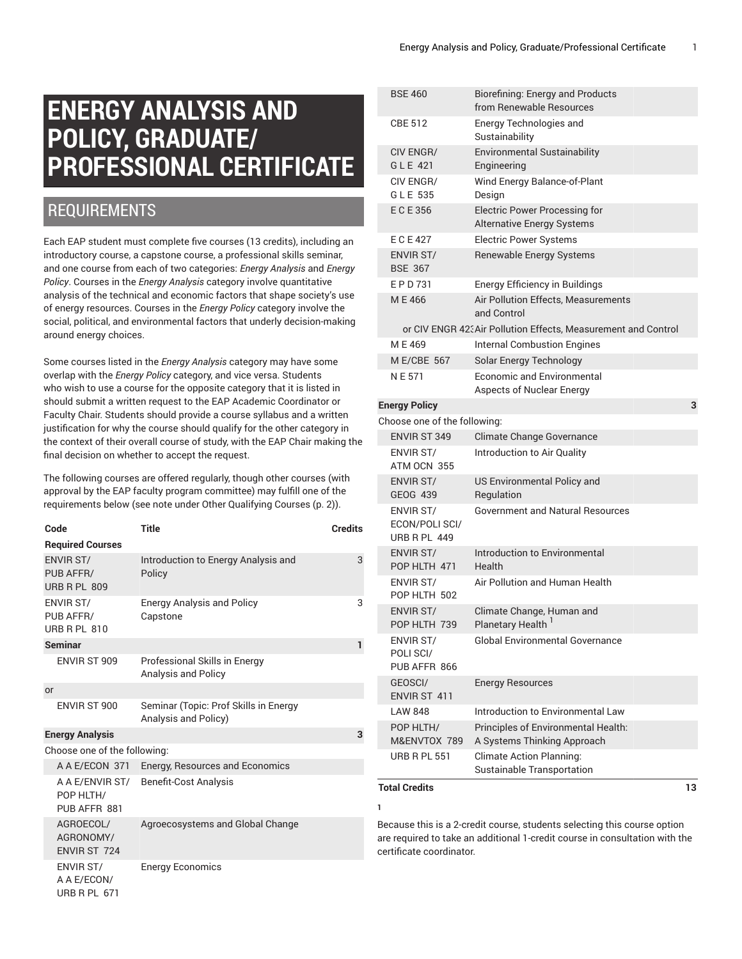## **ENERGY ANALYSIS AND POLICY, GRADUATE/ PROFESSIONAL CERTIFICATE**

## REQUIREMENTS

Each EAP student must complete five courses (13 credits), including an introductory course, a capstone course, a professional skills seminar, and one course from each of two categories: *Energy Analysis* and *Energy Policy*. Courses in the *Energy Analysis* category involve quantitative analysis of the technical and economic factors that shape society's use of energy resources. Courses in the *Energy Policy* category involve the social, political, and environmental factors that underly decision-making around energy choices.

Some courses listed in the *Energy Analysis* category may have some overlap with the *Energy Policy* category, and vice versa. Students who wish to use a course for the opposite category that it is listed in should submit a written request to the EAP Academic Coordinator or Faculty Chair. Students should provide a course syllabus and a written justification for why the course should qualify for the other category in the context of their overall course of study, with the EAP Chair making the final decision on whether to accept the request.

The following courses are offered regularly, though other courses (with approval by the EAP faculty program committee) may fulfill one of the requirements below (see note under [Other Qualifying Courses](#page-1-0) ([p. 2](#page-1-0))).

| Code                                                   | <b>Title</b>                                                  | <b>Credits</b> |
|--------------------------------------------------------|---------------------------------------------------------------|----------------|
| <b>Required Courses</b>                                |                                                               |                |
| <b>ENVIR ST/</b><br>PUB AFFR/<br><b>URB R PL 809</b>   | Introduction to Energy Analysis and<br>Policy                 | 3              |
| <b>ENVIR ST/</b><br>PUB AFFR/<br><b>URB R PL 810</b>   | <b>Energy Analysis and Policy</b><br>Capstone                 | 3              |
| <b>Seminar</b>                                         |                                                               | 1              |
| ENVIR ST 909                                           | Professional Skills in Energy<br><b>Analysis and Policy</b>   |                |
| or                                                     |                                                               |                |
| ENVIR ST 900                                           | Seminar (Topic: Prof Skills in Energy<br>Analysis and Policy) |                |
| <b>Energy Analysis</b>                                 |                                                               | 3              |
| Choose one of the following:                           |                                                               |                |
| A A E/ECON 371                                         | Energy, Resources and Economics                               |                |
| A A E/ENVIR ST/<br>POP HLTH/<br>PUB AFFR 881           | <b>Benefit-Cost Analysis</b>                                  |                |
| AGROECOL/<br>AGRONOMY/<br>ENVIR ST 724                 | Agroecosystems and Global Change                              |                |
| <b>ENVIR ST/</b><br>A A E/ECON/<br><b>URB R PL 671</b> | <b>Energy Economics</b>                                       |                |

**1**

Because this is a 2-credit course, students selecting this course option are required to take an additional 1-credit course in consultation with the certificate coordinator.